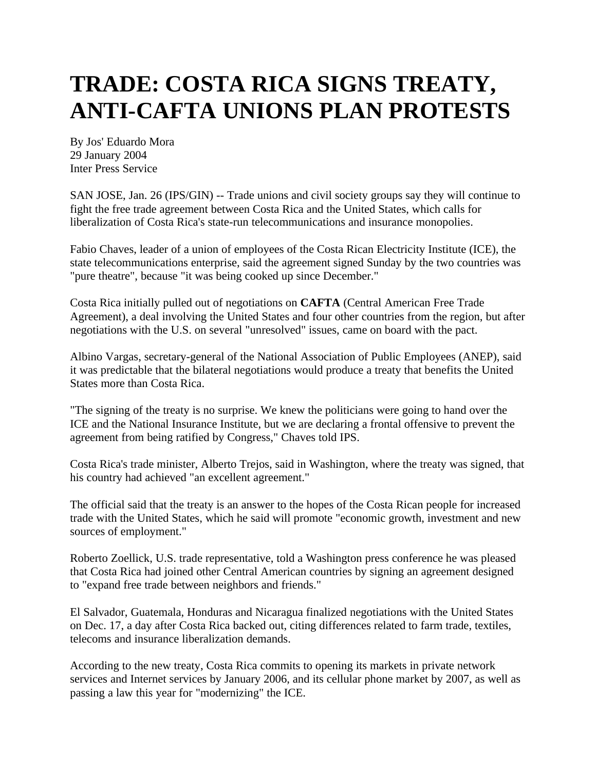## **TRADE: COSTA RICA SIGNS TREATY, ANTI-CAFTA UNIONS PLAN PROTESTS**

By Jos' Eduardo Mora 29 January 2004 Inter Press Service

SAN JOSE, Jan. 26 (IPS/GIN) -- Trade unions and civil society groups say they will continue to fight the free trade agreement between Costa Rica and the United States, which calls for liberalization of Costa Rica's state-run telecommunications and insurance monopolies.

Fabio Chaves, leader of a union of employees of the Costa Rican Electricity Institute (ICE), the state telecommunications enterprise, said the agreement signed Sunday by the two countries was "pure theatre", because "it was being cooked up since December."

Costa Rica initially pulled out of negotiations on **CAFTA** (Central American Free Trade Agreement), a deal involving the United States and four other countries from the region, but after negotiations with the U.S. on several "unresolved" issues, came on board with the pact.

Albino Vargas, secretary-general of the National Association of Public Employees (ANEP), said it was predictable that the bilateral negotiations would produce a treaty that benefits the United States more than Costa Rica.

"The signing of the treaty is no surprise. We knew the politicians were going to hand over the ICE and the National Insurance Institute, but we are declaring a frontal offensive to prevent the agreement from being ratified by Congress," Chaves told IPS.

Costa Rica's trade minister, Alberto Trejos, said in Washington, where the treaty was signed, that his country had achieved "an excellent agreement."

The official said that the treaty is an answer to the hopes of the Costa Rican people for increased trade with the United States, which he said will promote "economic growth, investment and new sources of employment."

Roberto Zoellick, U.S. trade representative, told a Washington press conference he was pleased that Costa Rica had joined other Central American countries by signing an agreement designed to "expand free trade between neighbors and friends."

El Salvador, Guatemala, Honduras and Nicaragua finalized negotiations with the United States on Dec. 17, a day after Costa Rica backed out, citing differences related to farm trade, textiles, telecoms and insurance liberalization demands.

According to the new treaty, Costa Rica commits to opening its markets in private network services and Internet services by January 2006, and its cellular phone market by 2007, as well as passing a law this year for "modernizing" the ICE.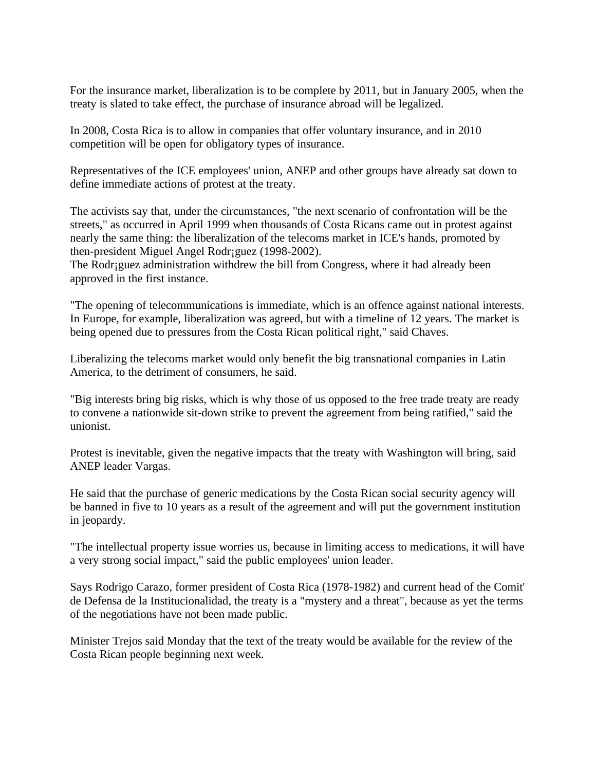For the insurance market, liberalization is to be complete by 2011, but in January 2005, when the treaty is slated to take effect, the purchase of insurance abroad will be legalized.

In 2008, Costa Rica is to allow in companies that offer voluntary insurance, and in 2010 competition will be open for obligatory types of insurance.

Representatives of the ICE employees' union, ANEP and other groups have already sat down to define immediate actions of protest at the treaty.

The activists say that, under the circumstances, "the next scenario of confrontation will be the streets," as occurred in April 1999 when thousands of Costa Ricans came out in protest against nearly the same thing: the liberalization of the telecoms market in ICE's hands, promoted by then-president Miguel Angel Rodr¡guez (1998-2002).

The Rodr; guez administration withdrew the bill from Congress, where it had already been approved in the first instance.

"The opening of telecommunications is immediate, which is an offence against national interests. In Europe, for example, liberalization was agreed, but with a timeline of 12 years. The market is being opened due to pressures from the Costa Rican political right," said Chaves.

Liberalizing the telecoms market would only benefit the big transnational companies in Latin America, to the detriment of consumers, he said.

"Big interests bring big risks, which is why those of us opposed to the free trade treaty are ready to convene a nationwide sit-down strike to prevent the agreement from being ratified," said the unionist.

Protest is inevitable, given the negative impacts that the treaty with Washington will bring, said ANEP leader Vargas.

He said that the purchase of generic medications by the Costa Rican social security agency will be banned in five to 10 years as a result of the agreement and will put the government institution in jeopardy.

"The intellectual property issue worries us, because in limiting access to medications, it will have a very strong social impact," said the public employees' union leader.

Says Rodrigo Carazo, former president of Costa Rica (1978-1982) and current head of the Comit' de Defensa de la Institucionalidad, the treaty is a "mystery and a threat", because as yet the terms of the negotiations have not been made public.

Minister Trejos said Monday that the text of the treaty would be available for the review of the Costa Rican people beginning next week.